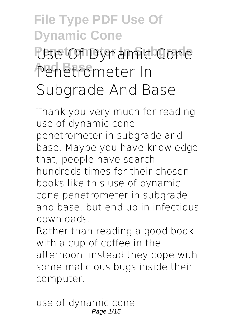# **File Type PDF Use Of Dynamic Cone Penetrometer In Subgrade Use Of Dynamic Cone And Base Penetrometer In Subgrade And Base**

Thank you very much for reading **use of dynamic cone penetrometer in subgrade and base**. Maybe you have knowledge that, people have search hundreds times for their chosen books like this use of dynamic cone penetrometer in subgrade and base, but end up in infectious downloads.

Rather than reading a good book with a cup of coffee in the afternoon, instead they cope with some malicious bugs inside their computer.

use of dynamic cone Page 1/15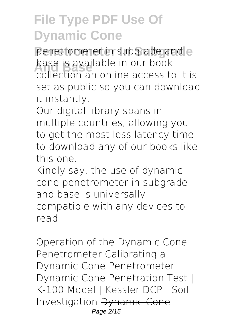penetrometer in subgrade and e **base is available in our book**<br>collection an online access to collection an online access to it is set as public so you can download it instantly.

Our digital library spans in multiple countries, allowing you to get the most less latency time to download any of our books like this one.

Kindly say, the use of dynamic cone penetrometer in subgrade and base is universally compatible with any devices to read

Operation of the Dynamic Cone Penetrometer *Calibrating a Dynamic Cone Penetrometer Dynamic Cone Penetration Test | K-100 Model | Kessler DCP | Soil Investigation* Dynamic Cone Page 2/15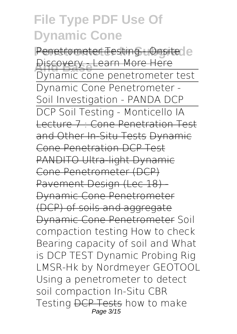Penetrometer Testing - Onsite le **Discovery - Learn More Here** Dynamic cone penetrometer test Dynamic Cone Penetrometer - Soil Investigation - PANDA DCP DCP Soil Testing - Monticello IA Lecture 7 : Cone Penetration Test and Other In-Situ Tests Dynamic Cone Penetration DCP Test PANDITO Ultra-light Dynamic Cone Penetrometer (DCP) Pavement Design (Lec 18) Dynamic Cone Penetrometer (DCP) of soils and aggregate Dynamic Cone Penetrometer *Soil compaction testing* **How to check Bearing capacity of soil and What is DCP TEST Dynamic Probing Rig LMSR-Hk by Nordmeyer GEOTOOL** *Using a penetrometer to detect soil compaction* In-Situ CBR Testing DCP Tests **how to make** Page 3/15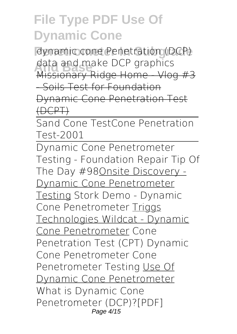**Penetrometer In Subgrade dynamic cone Penetration (DCP) And Base data and make DCP graphics** Missionary Ridge Home - Vlog #3 - Soils Test for Foundation Dynamic Cone Penetration Test (DCPT)

Sand Cone Test**Cone Penetration Test-2001**

Dynamic Cone Penetrometer Testing - Foundation Repair Tip Of The Day #98Onsite Discovery - Dynamic Cone Penetrometer Testing *Stork Demo - Dynamic Cone Penetrometer* Triggs Technologies Wildcat - Dynamic Cone Penetrometer **Cone Penetration Test (CPT) Dynamic Cone Penetrometer Cone Penetrometer Testing** Use Of Dynamic Cone Penetrometer What is Dynamic Cone Penetrometer (DCP)?[PDF] Page 4/15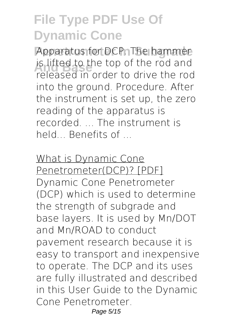Apparatus for DCP. The hammer is lifted to the top of the rod and<br>**Executive** and and the rotative the room released in order to drive the rod into the ground. Procedure. After the instrument is set up, the zero reading of the apparatus is recorded. The instrument is held... Benefits of

What is Dynamic Cone Penetrometer(DCP)? [PDF] Dynamic Cone Penetrometer (DCP) which is used to determine the strength of subgrade and base layers. It is used by Mn/DOT and Mn/ROAD to conduct pavement research because it is easy to transport and inexpensive to operate. The DCP and its uses are fully illustrated and described in this User Guide to the Dynamic Cone Penetrometer. Page 5/15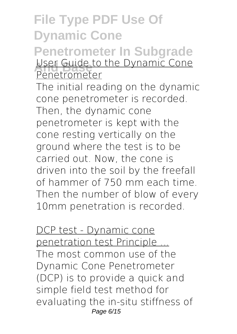#### **File Type PDF Use Of Dynamic Cone Penetrometer In Subgrade User Guide to the Dynamic Cone** Penetrometer

The initial reading on the dynamic cone penetrometer is recorded. Then, the dynamic cone penetrometer is kept with the cone resting vertically on the ground where the test is to be carried out. Now, the cone is driven into the soil by the freefall of hammer of 750 mm each time. Then the number of blow of every 10mm penetration is recorded.

DCP test - Dynamic cone penetration test Principle ... The most common use of the Dynamic Cone Penetrometer (DCP) is to provide a quick and simple field test method for evaluating the in-situ stiffness of Page 6/15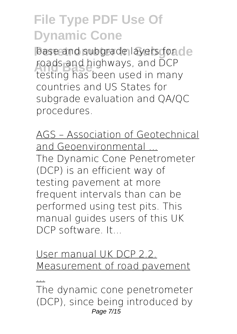base and subgrade layers for de roads and highways, and DCP<br>testing has been used in man testing has been used in many countries and US States for subgrade evaluation and QA/QC procedures.

AGS – Association of Geotechnical and Geoenvironmental ... The Dynamic Cone Penetrometer (DCP) is an efficient way of testing pavement at more frequent intervals than can be performed using test pits. This manual guides users of this UK DCP software. It...

User manual UK DCP 2.2. Measurement of road pavement

...

The dynamic cone penetrometer (DCP), since being introduced by Page 7/15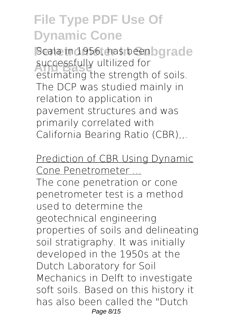Scala in 1956, has beenbgrade successfully ultilized for estimating the strength of soils. The DCP was studied mainly in relation to application in pavement structures and was primarily correlated with California Bearing Ratio (CBR),

Prediction of CBR Using Dynamic Cone Penetrometer ... The cone penetration or cone penetrometer test is a method used to determine the geotechnical engineering properties of soils and delineating soil stratigraphy. It was initially developed in the 1950s at the Dutch Laboratory for Soil Mechanics in Delft to investigate soft soils. Based on this history it has also been called the "Dutch Page 8/15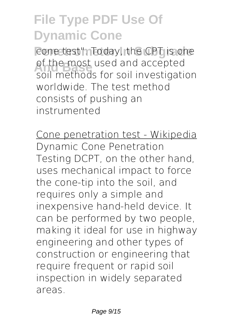cone test". Today, the CPT is one of the most used and accepted<br>coil matheds for soil investigati soil methods for soil investigation worldwide. The test method consists of pushing an instrumented

Cone penetration test - Wikipedia Dynamic Cone Penetration Testing DCPT, on the other hand, uses mechanical impact to force the cone-tip into the soil, and requires only a simple and inexpensive hand-held device. It can be performed by two people, making it ideal for use in highway engineering and other types of construction or engineering that require frequent or rapid soil inspection in widely separated areas.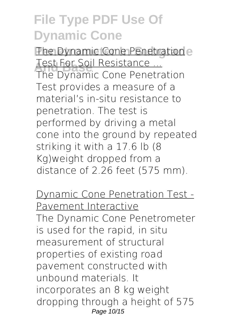The Dynamic Cone Penetration e **Test For Soil Resistance ...**<br>The Dynamic Cone Reports

The Dynamic Cone Penetration Test provides a measure of a material's in-situ resistance to penetration. The test is performed by driving a metal cone into the ground by repeated striking it with a 17.6 lb (8 Kg)weight dropped from a distance of 2.26 feet (575 mm).

Dynamic Cone Penetration Test - Pavement Interactive

The Dynamic Cone Penetrometer is used for the rapid, in situ measurement of structural properties of existing road pavement constructed with unbound materials. It incorporates an 8 kg weight dropping through a height of 575 Page 10/15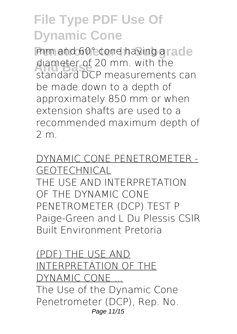mm and 60° cone having grade diameter of 20 mm. with the standard DCP measurements can be made down to a depth of approximately 850 mm or when extension shafts are used to a recommended maximum depth of 2 m.

DYNAMIC CONE PENETROMETER - GEOTECHNICAL THE USE AND INTERPRETATION OF THE DYNAMIC CONE PENETROMETER (DCP) TEST P Paige-Green and L Du Plessis CSIR Built Environment Pretoria

(PDF) THE USE AND INTERPRETATION OF THE DYNAMIC CONE ... The Use of the Dynamic Cone Penetrometer (DCP), Rep. No. Page 11/15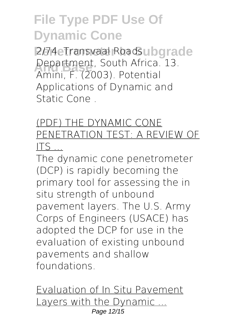**2/74. Transvaal Roadsubgrade And Base** Amini, F. (2003). Potential Department, South Africa. 13. Applications of Dynamic and Static Cone .

#### (PDF) THE DYNAMIC CONE PENETRATION TEST: A REVIEW OF ITS ...

The dynamic cone penetrometer (DCP) is rapidly becoming the primary tool for assessing the in situ strength of unbound pavement layers. The U.S. Army Corps of Engineers (USACE) has adopted the DCP for use in the evaluation of existing unbound pavements and shallow foundations.

Evaluation of In Situ Pavement Layers with the Dynamic ... Page 12/15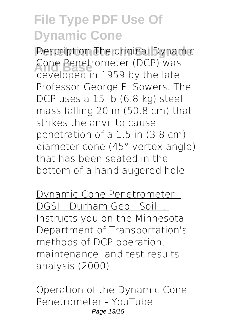**Pescription The original Dynamic** Lone Penetrometer (DCP) was<br>developed in 1959 by the late Cone Penetrometer (DCP) was Professor George F. Sowers. The DCP uses a 15 lb (6.8 kg) steel mass falling 20 in (50.8 cm) that strikes the anvil to cause penetration of a 1.5 in (3.8 cm) diameter cone (45° vertex angle) that has been seated in the bottom of a hand augered hole.

Dynamic Cone Penetrometer - DGSI - Durham Geo - Soil ... Instructs you on the Minnesota Department of Transportation's methods of DCP operation, maintenance, and test results analysis (2000)

Operation of the Dynamic Cone Penetrometer - YouTube Page 13/15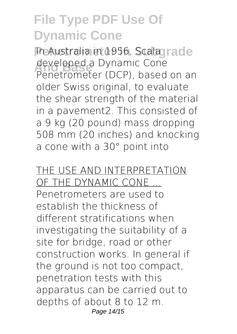**In Australia in 1956, Scalagrade** developed a Dynamic Cone<br>Penetrameter (DCP), based Penetrometer (DCP), based on an older Swiss original, to evaluate the shear strength of the material in a pavement2. This consisted of a 9 kg (20 pound) mass dropping 508 mm (20 inches) and knocking a cone with a 30° point into

THE USE AND INTERPRETATION OF THE DYNAMIC CONE ... Penetrometers are used to establish the thickness of different stratifications when investigating the suitability of a site for bridge, road or other construction works. In general if the ground is not too compact, penetration tests with this apparatus can be carried out to depths of about 8 to 12 m. Page 14/15